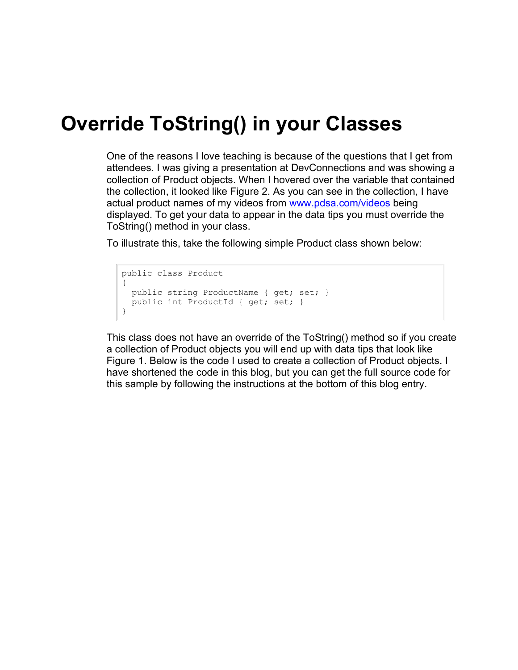## **Override ToString() in your Classes**

One of the reasons I love teaching is because of the questions that I get from attendees. I was giving a presentation at DevConnections and was showing a collection of Product objects. When I hovered over the variable that contained the collection, it looked like Figure 2. As you can see in the collection, I have actual product names of my videos from [www.pdsa.com/videos](http://www.pdsa.com/videos) being displayed. To get your data to appear in the data tips you must override the ToString() method in your class.

To illustrate this, take the following simple Product class shown below:

```
public class Product
{
 public string ProductName { get; set; }
  public int ProductId { get; set; }
}
```
This class does not have an override of the ToString() method so if you create a collection of Product objects you will end up with data tips that look like Figure 1. Below is the code I used to create a collection of Product objects. I have shortened the code in this blog, but you can get the full source code for this sample by following the instructions at the bottom of this blog entry.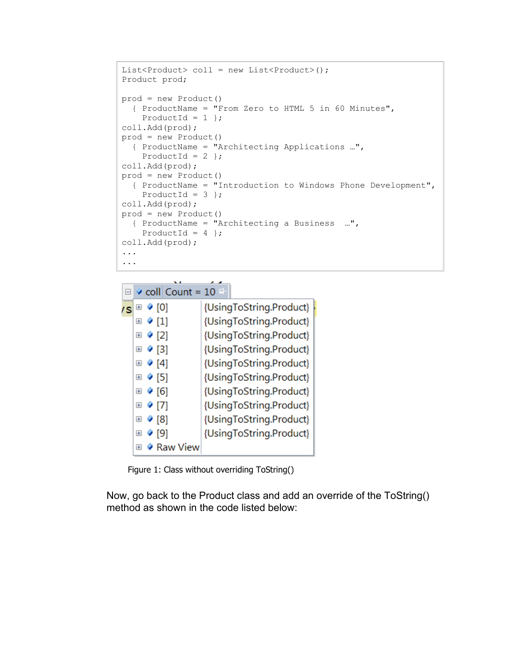```
List<Product> coll = new List<Product>();
Product prod;
prod = new Product()
  { ProductName = "From Zero to HTML 5 in 60 Minutes", 
   ProductId = 1 };
coll.Add(prod);
prod = new Product() 
   { ProductName = "Architecting Applications …", 
    ProductId = 2 };
coll.Add(prod);
prod = new Product()
  { ProductName = "Introduction to Windows Phone Development",
   ProductId = 3 };
coll.Add(prod);
prod = new Product() 
  { ProductName = "Architecting a Business …", 
    ProductId = 4 };
coll.Add(prod);
...
...
```

|    |                | $\Box$ $\Diamond$ coll Count = 10 $\Box$ |                         |
|----|----------------|------------------------------------------|-------------------------|
| 's | $\pm$          | $\bullet$ [0]                            | {UsingToString.Product} |
|    | $+$            | $\bullet$ [1]                            | {UsingToString.Product} |
|    | $\overline{+}$ | $\bullet$ [2]                            | {UsingToString.Product} |
|    | $\pm$          | $\bullet$ [3]                            | {UsingToString.Product} |
|    | $\pm$          | 9[4]                                     | {UsingToString.Product} |
|    | $\pm$          | 51                                       | {UsingToString.Product} |
|    |                | ⊞ ♦ [6]                                  | {UsingToString.Product} |
|    | $\pm$          | 9 <sub>[7]</sub>                         | {UsingToString.Product} |
|    | $+$            | $\bullet$ [8]                            | {UsingToString.Product} |
|    | $\overline{+}$ | ั∙ [9]                                   | {UsingToString.Product} |
|    | $\overline{+}$ | ♦ Raw View                               |                         |

Figure 1: Class without overriding ToString()

Now, go back to the Product class and add an override of the ToString() method as shown in the code listed below: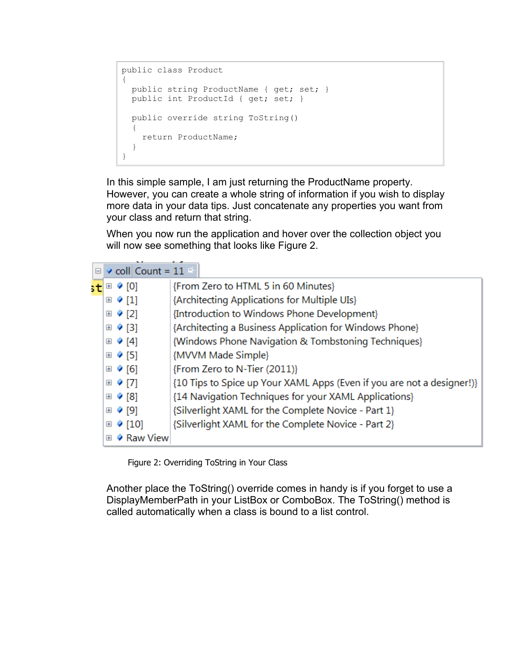```
public class Product
{
 public string ProductName { get; set; }
  public int ProductId { get; set; }
  public override string ToString()
 \{ return ProductName;
   }
}
```
In this simple sample, I am just returning the ProductName property. However, you can create a whole string of information if you wish to display more data in your data tips. Just concatenate any properties you want from your class and return that string.

When you now run the application and hover over the collection object you will now see something that looks like Figure 2.

|     |       | $\Box$ $\Diamond$ coll Count = 11 $\Box$ |                                                                        |
|-----|-------|------------------------------------------|------------------------------------------------------------------------|
| stl |       | ⊞ ♦ [0]                                  | {From Zero to HTML 5 in 60 Minutes}                                    |
|     |       | $\boxplus$ $\bullet$ [1]                 | {Architecting Applications for Multiple UIs}                           |
|     |       | ⊞ ♦ [2]                                  | {Introduction to Windows Phone Development}                            |
|     |       | ⊞ ♦ [3]                                  | {Architecting a Business Application for Windows Phone}                |
|     |       | ⊞ ♦ [4]                                  | {Windows Phone Navigation & Tombstoning Techniques}                    |
|     |       | ⊞ ♦ [5]                                  | {MVVM Made Simple}                                                     |
|     |       | ⊞ ♦ [6]                                  | {From Zero to N-Tier (2011)}                                           |
|     |       | ⊞ ♦ [7]                                  | {10 Tips to Spice up Your XAML Apps (Even if you are not a designer!)} |
|     |       | ⊞ ♦ [8]                                  | {14 Navigation Techniques for your XAML Applications}                  |
|     |       | ⊞ ♦ [9]                                  | {Silverlight XAML for the Complete Novice - Part 1}                    |
|     | $\pm$ | (10)                                     | {Silverlight XAML for the Complete Novice - Part 2}                    |
|     | Ŧ     | Raw View                                 |                                                                        |

Figure 2: Overriding ToString in Your Class

Another place the ToString() override comes in handy is if you forget to use a DisplayMemberPath in your ListBox or ComboBox. The ToString() method is called automatically when a class is bound to a list control.